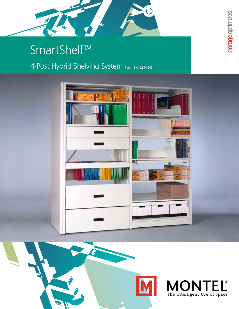

## SmartShelf™

## 4-Post Hybrid Shelving System Patent No. 6,814,245



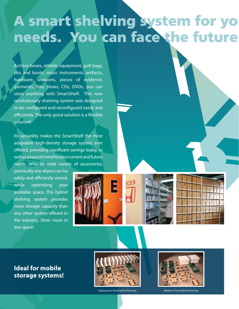# A smart shelving system for yo needs. You can face the future

Archive boxes, athletic equipment, golf bags, skis and boots, music instruments, artifacts, hardware, weapons, pieces of evidence, garments, files, shoes, CDs, DVDs, you can store anything with SmartShelf. This new revolutionary shelving system was designed to be configured and reconfigured easily and efficiently. The only good solution is a flexible solution!

Its versatility makes the SmartShelf the most adaptable high-density storage system ever offered, providing significant savings today, as well as peace of mind for your current and future needs. With its wide variety of accessories,

practically any object can be safely and efficiently stored, while optimizing your available space. This hybrid shelving system provides more storage capacity than any other system offered in the industry. Store more in less space!

E





**Ideal for mobile storage systems!**





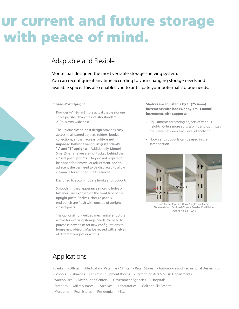## ur current and future storage with peace of mind.

## Adaptable and Flexible

Montel has designed the most versatile storage shelving system. You can reconfigure it any time according to your changing storage needs and available space. This also enables you to anticipate your potential storage needs.

#### **Closed-Post Upright**

- Provides ¾" (19 mm) more actual usable storage space per shelf than the industry standard 2" (50.8 mm) wide post.
- The unique closed-post design provides easy access to all stored objects, folders, books, collections, as their **accessibility is not impeded behind the industry standard's "L" and "T" uprights.** Additionally, Montel SmartShelf shelves are not tucked behind the closed-post uprights. They do not require to be tipped for removal or adjustment, nor do adjacent shelves need to be displaced to allow clearance for a tipped shelf's removal.
- Designed to accommodate hooks and supports.
- Smooth finished apperance since no holes or fasteners are exposed on the front face of the upright posts. Shelves, closure panels, end panels are flush with outside of upright closed-posts.
- The optional non-welded mechanical structure allows for evolving storage needs. No need to purchase new posts for new configurations to house new objects. May be reused with shelves of different lenghts or widths.

**Shelves are adjustable by 1" (25.4mm) increments with hooks, or by 1 ½" (38mm) increments with supports:**

- Adjustments for storing objects of various heights. Offers more adjustability and optimizes the space between each level of shelving.
- Hooks and supports can be used in the same section.



Two Technologies within a Single Post Frame. Shown without Optional Closure Panel or End Divider Patent No. 6,814,245

## Applications

- Banks Offices Medical and Veterinary Clinics Retail Stores Automobile and Recreational Dealerships
- Schools Librairies Athletic Equipment Rooms Performing Arts & Music Departments
- Warehouses Distribution Centers Government Agencies Hospitals
- Factories Military Bases Archives Laboratories Golf and Ski Resorts
- Museums Real Estates Residential Etc.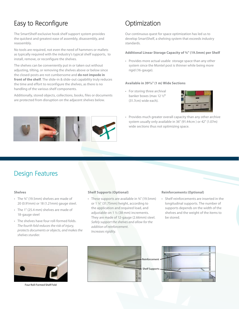## Easy to Reconfigure

The SmartShelf exclusive hook shelf support system provides the quickest and greatest ease of assembly, disassembly, and reassembly.

No tools are required, not even the need of hammers or mallets as typically required with the industry's typical shelf supports, to install, remove, or reconfigure the shelves.

The shelves can be conveniently put in or taken out without adjusting, tilting, or removing the shelves above or below since the closed-posts are not cumbersome and **do not impede in front of the shelf**. The slide-in & slide-out capability truly reduces the time and effort to reconfigure the shelves, as there is no handling of the various shelf components.

Additionally, stored objects, collections, books, files or documents are protected from disruption on the adjacent shelves below.

## **Optimization**

Our continuous quest for space optimization has led us to develop SmartShelf, a shelving system that exceeds industry standards.

#### **Additional Linear Storage Capacity of ¾" (19.5mm) per Shelf**

• Provides more actual usable storage space than any other system since the Montel post is thinner while being more rigid (16-gauge).

#### **Available in 393/8" (1 m) Wide Sections**

• For storing three archival banker boxes (max 12 ½" (31.7cm) wide each).



• Provides much greater overall capacity than any other archive system usually only available in 36" (91.44cm ) or 42" (1.07m) wide sections thus not optimizing space.



#### **Shelves**

- The ¾" (19.5mm) shelves are made of 20 (0.91mm) or 18 (1.21mm) gauge steel.
- The 1" (25.4 mm) shelves are made of 18-gauge steel
- The shelves have four roll-formed folds. *The fourth fold reduces the risk of injury, protects documents or objects, and makes the shelves sturdier.*

### **Shelf Supports (Optional)**

 $\lambda$ 

• These supports are available in 3/4" (19.5mm) or 1 ¼" (31.75mm) height, according to the application and required load, and adjustable on 1 ½ (38 mm) increments. They are made of 12-gauge (2.66mm) steel. *Safely support the shelves and allow for the addition of reinforcement. Increases rigidity.*

#### **Reinforcements (Optional)**

• Shelf reinforcements are inserted in the longitudinal supports. The number of supports depends on the width of the shelves and the weight of the items to be stored.



Four Roll-Formed Shelf Fold

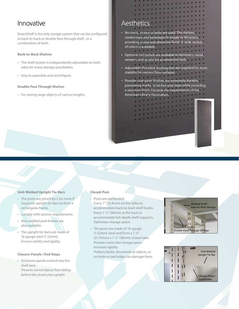## Innovative

SmartShelf is the only storage system that can be configured as back-to-back or double-face through shelf , or a combination of both.

#### **Back-to-Back Shelves**

- The shelf system is independently adjustable on both sides for many storage possibilities.
- Easy to assemble and reconfigure.

### **Double-Face Through Shelves**

• For storing large objects of various lengths.

## **Aesthetics**

- No rivets, screws or bolts are used. The shelves, centerstops and backstops fit snugly to the posts, providing a neat and attractive finish. A wide variety of colors is available.
- • Optional end panels are available in laminates, wood veneers, and acrylic for an attractive look.
- Adjustable threaded leveling feet are supplied for more stability for uneven floor surfaces.
- Powder-coat paint finishes are extremely durable, preventing marks, scratches and chips while providing a very nice finish. Exceeds the requirements of the American Library Association.

 $-111$ 

## **Unit-Welded Upright Tie-Bars**

- The posts are joined by 2 (or more if required) upright tie-bars to form a rectangular frame.
- Comply with seismic requirements.
- Non-welded post-frames are also available.
- The upright tie-bars are made of 16-gauge steel (1.52mm). *Ensures solidity and rigidity.*

#### **Closure-Panels / End Stops**

• Enclosure panels extend into the shelf aera. *Prevents stored objects from falling behind the closed-post upright.*

#### **Closed-Post**

- Posts are perforated: Every 1" (25.4mm) on the sides to accommodate back-to-back shelf hooks. Every 1 ½" (38mm) at the back to accommodate full-depth shelf supports. Optimizes storage space.
- The posts are made of 16-gauge (1.52mm) steel and form a 1 ¼" (31.75mm) x 1 ½" (38mm) closed tube. *Provides more clear storage space. Increases rigidity. Protects books, documents or objects, as no holes or steel edges can damage them.*



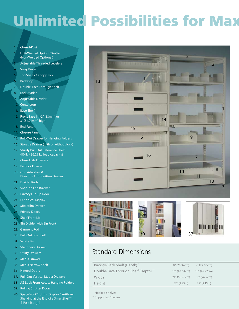# Unlimited Possibilities for Max

### 1. Closed-Post

- 2. Unit-Welded Upright Tie-Bar (Non-Welded Optional)
- Adjustable Threaded Levelers
- Sway Brace
- Top Shelf / Canopy Top
- **Backstop**
- 7. Double-Face Through Shelf
- 8. End Divider
- 9. Adjustable Divider
- 10. Centerstop
- 11. Base Shelf
- 12. Front Base 1-1/2" (38mm) or 3" (81.21mm) high
- 13. End Panel
- 14. Closure Panel
- 15. Roll-Out Drawer for Hanging Folders
- 16. Storage Drawer (with or without lock)
- 17. Sturdy Pull-Out Reference Shelf (80 lb / 36.29 kg load capacity)
- 18. Closed File Drawers
- 19. Padlock Drawer
- 20 Gun Adaptors & Firearms Ammunition Drawer
- 21. Divider Rods
- 22 Snap-on End Bracket
- 23. Privacy Flip-up Door
- 24. Periodical Display
- 25. Microfilm Drawer
- 26. Privacy Doors
- 27. Shelf Front Lip
- 28. Bin Divider with Bin Front
- 29. Garment Rod
- 30. Pull-Out Box Shelf
- 31. Safety Bar
- 32. Stationery Drawer
- 33. Utility Drawers
- 34. Media Drawer
- 35. Media Narrow Shelf
- 36. Hinged Doors
- 37. Pull-Out Vertical Media Drawers
- 38. AZ Look Front Access Hanging Folders
- 39. Rolling Shutter Doors
- 40. SpaceFront™ Units (Display Cantilever Shelving at the End of a SmartShelf™ 4-Post Range)





## Standard Dimensions

| Double-Face Through Shelf (Depth) **<br>18" (45.72cm)<br>16" (40.64cm)<br>Width<br>24" (60.96cm) 30" (76.2cm) |
|---------------------------------------------------------------------------------------------------------------|
|                                                                                                               |
|                                                                                                               |
| Height<br>85" (2.15m)<br>76" (1.93m)                                                                          |

\* Hooked Shelves

\*\* Supported Shelves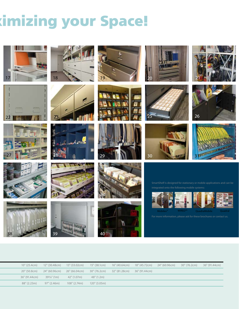# imizing your Space!

 $\boldsymbol{z}$ 



































integrated onto the following mobile systems:



| 10" (25.4cm) 12" (30.48cm) 13" (33.02cm) 15" (38.1cm) 16" (40.64cm) 18" (45.72cm) 24" (60.96cm) 30" (76.2cm) 36" (91.44cm) |                           |                                           |            |  |  |  |
|----------------------------------------------------------------------------------------------------------------------------|---------------------------|-------------------------------------------|------------|--|--|--|
| 20" (50.8cm) 24" (60.96cm) 26" (66.04cm) 30" (76.2cm) 32" (81.28cm) 36" (91.44cm)                                          |                           |                                           |            |  |  |  |
| 36" (91.44cm)                                                                                                              | $393/s''(1m)$ 42" (1.07m) |                                           | 48" (1.2m) |  |  |  |
| 88" (2.23m)                                                                                                                |                           | 97" (2.46m)   108" (2.74m)   120" (3.05m) |            |  |  |  |